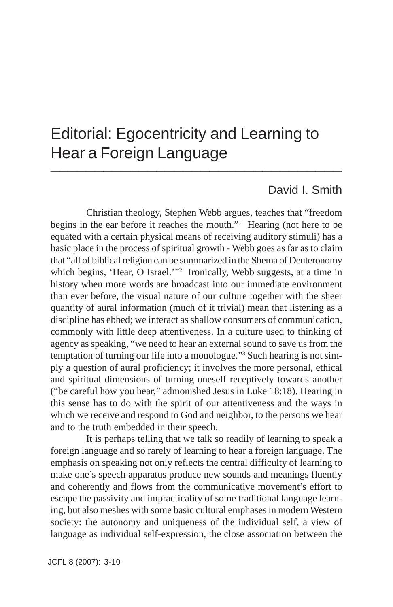# Editorial: Egocentricity and Learning to Hear a Foreign Language **\_\_\_\_\_\_\_\_\_\_\_\_\_\_\_\_\_\_\_\_\_\_\_\_\_\_\_\_\_\_\_\_\_**

## David I. Smith

Christian theology, Stephen Webb argues, teaches that "freedom begins in the ear before it reaches the mouth."1 Hearing (not here to be equated with a certain physical means of receiving auditory stimuli) has a basic place in the process of spiritual growth - Webb goes as far as to claim that "all of biblical religion can be summarized in the Shema of Deuteronomy which begins, 'Hear, O Israel.'"<sup>2</sup> Ironically, Webb suggests, at a time in history when more words are broadcast into our immediate environment than ever before, the visual nature of our culture together with the sheer quantity of aural information (much of it trivial) mean that listening as a discipline has ebbed; we interact as shallow consumers of communication, commonly with little deep attentiveness. In a culture used to thinking of agency as speaking, "we need to hear an external sound to save us from the temptation of turning our life into a monologue."3 Such hearing is not simply a question of aural proficiency; it involves the more personal, ethical and spiritual dimensions of turning oneself receptively towards another ("be careful how you hear," admonished Jesus in Luke 18:18). Hearing in this sense has to do with the spirit of our attentiveness and the ways in which we receive and respond to God and neighbor, to the persons we hear and to the truth embedded in their speech.

It is perhaps telling that we talk so readily of learning to speak a foreign language and so rarely of learning to hear a foreign language. The emphasis on speaking not only reflects the central difficulty of learning to make one's speech apparatus produce new sounds and meanings fluently and coherently and flows from the communicative movement's effort to escape the passivity and impracticality of some traditional language learning, but also meshes with some basic cultural emphases in modern Western society: the autonomy and uniqueness of the individual self, a view of language as individual self-expression, the close association between the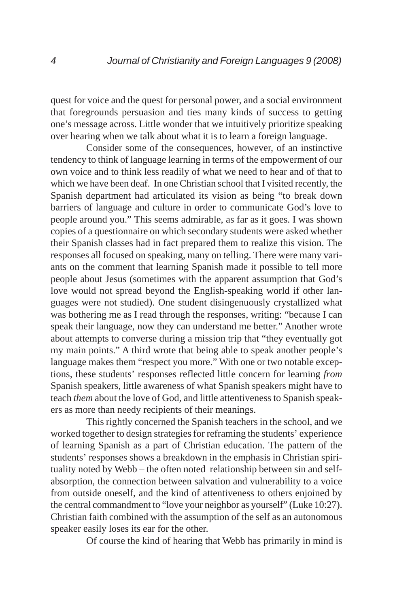quest for voice and the quest for personal power, and a social environment that foregrounds persuasion and ties many kinds of success to getting one's message across. Little wonder that we intuitively prioritize speaking over hearing when we talk about what it is to learn a foreign language.

Consider some of the consequences, however, of an instinctive tendency to think of language learning in terms of the empowerment of our own voice and to think less readily of what we need to hear and of that to which we have been deaf. In one Christian school that I visited recently, the Spanish department had articulated its vision as being "to break down barriers of language and culture in order to communicate God's love to people around you." This seems admirable, as far as it goes. I was shown copies of a questionnaire on which secondary students were asked whether their Spanish classes had in fact prepared them to realize this vision. The responses all focused on speaking, many on telling. There were many variants on the comment that learning Spanish made it possible to tell more people about Jesus (sometimes with the apparent assumption that God's love would not spread beyond the English-speaking world if other languages were not studied). One student disingenuously crystallized what was bothering me as I read through the responses, writing: "because I can speak their language, now they can understand me better." Another wrote about attempts to converse during a mission trip that "they eventually got my main points." A third wrote that being able to speak another people's language makes them "respect you more." With one or two notable exceptions, these students' responses reflected little concern for learning *from* Spanish speakers, little awareness of what Spanish speakers might have to teach *them* about the love of God, and little attentiveness to Spanish speakers as more than needy recipients of their meanings.

This rightly concerned the Spanish teachers in the school, and we worked together to design strategies for reframing the students' experience of learning Spanish as a part of Christian education. The pattern of the students' responses shows a breakdown in the emphasis in Christian spirituality noted by Webb – the often noted relationship between sin and selfabsorption, the connection between salvation and vulnerability to a voice from outside oneself, and the kind of attentiveness to others enjoined by the central commandment to "love your neighbor as yourself" (Luke 10:27). Christian faith combined with the assumption of the self as an autonomous speaker easily loses its ear for the other.

Of course the kind of hearing that Webb has primarily in mind is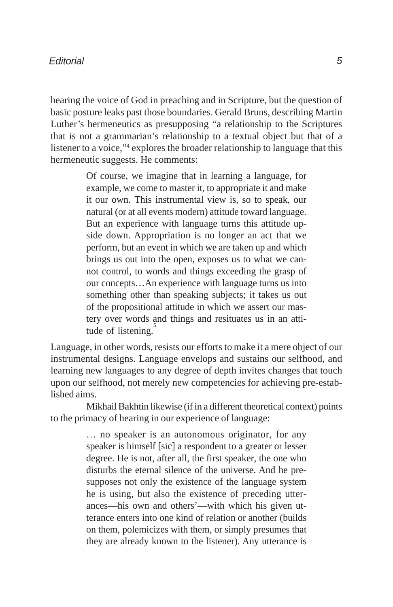#### *Editorial*

hearing the voice of God in preaching and in Scripture, but the question of basic posture leaks past those boundaries. Gerald Bruns, describing Martin Luther's hermeneutics as presupposing "a relationship to the Scriptures that is not a grammarian's relationship to a textual object but that of a listener to a voice,"4 explores the broader relationship to language that this hermeneutic suggests. He comments:

> Of course, we imagine that in learning a language, for example, we come to master it, to appropriate it and make it our own. This instrumental view is, so to speak, our natural (or at all events modern) attitude toward language. But an experience with language turns this attitude upside down. Appropriation is no longer an act that we perform, but an event in which we are taken up and which brings us out into the open, exposes us to what we cannot control, to words and things exceeding the grasp of our concepts…An experience with language turns us into something other than speaking subjects; it takes us out of the propositional attitude in which we assert our mastery over words and things and resituates us in an attitude of listening.

Language, in other words, resists our efforts to make it a mere object of our instrumental designs. Language envelops and sustains our selfhood, and learning new languages to any degree of depth invites changes that touch upon our selfhood, not merely new competencies for achieving pre-established aims.

Mikhail Bakhtin likewise (if in a different theoretical context) points to the primacy of hearing in our experience of language:

> … no speaker is an autonomous originator, for any speaker is himself [sic] a respondent to a greater or lesser degree. He is not, after all, the first speaker, the one who disturbs the eternal silence of the universe. And he presupposes not only the existence of the language system he is using, but also the existence of preceding utterances—his own and others'—with which his given utterance enters into one kind of relation or another (builds on them, polemicizes with them, or simply presumes that they are already known to the listener). Any utterance is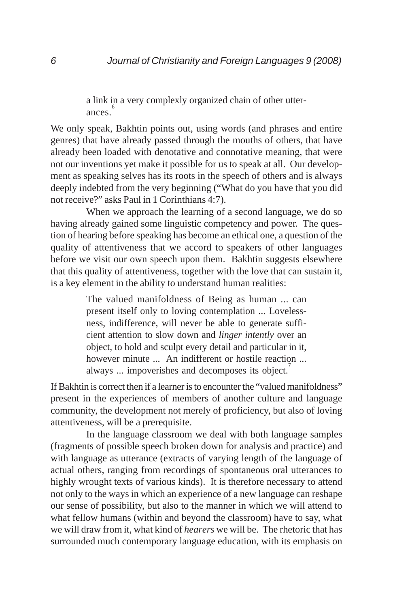a link in a very complexly organized chain of other utterances.<sup>6</sup>

We only speak, Bakhtin points out, using words (and phrases and entire genres) that have already passed through the mouths of others, that have already been loaded with denotative and connotative meaning, that were not our inventions yet make it possible for us to speak at all. Our development as speaking selves has its roots in the speech of others and is always deeply indebted from the very beginning ("What do you have that you did not receive?" asks Paul in 1 Corinthians 4:7).

When we approach the learning of a second language, we do so having already gained some linguistic competency and power. The question of hearing before speaking has become an ethical one, a question of the quality of attentiveness that we accord to speakers of other languages before we visit our own speech upon them. Bakhtin suggests elsewhere that this quality of attentiveness, together with the love that can sustain it, is a key element in the ability to understand human realities:

> The valued manifoldness of Being as human ... can present itself only to loving contemplation ... Lovelessness, indifference, will never be able to generate sufficient attention to slow down and *linger intently* over an object, to hold and sculpt every detail and particular in it, however minute ... An indifferent or hostile reaction ... always ... impoverishes and decomposes its object.

If Bakhtin is correct then if a learner is to encounter the "valued manifoldness" present in the experiences of members of another culture and language community, the development not merely of proficiency, but also of loving attentiveness, will be a prerequisite.

In the language classroom we deal with both language samples (fragments of possible speech broken down for analysis and practice) and with language as utterance (extracts of varying length of the language of actual others, ranging from recordings of spontaneous oral utterances to highly wrought texts of various kinds). It is therefore necessary to attend not only to the ways in which an experience of a new language can reshape our sense of possibility, but also to the manner in which we will attend to what fellow humans (within and beyond the classroom) have to say, what we will draw from it, what kind of *hearers* we will be. The rhetoric that has surrounded much contemporary language education, with its emphasis on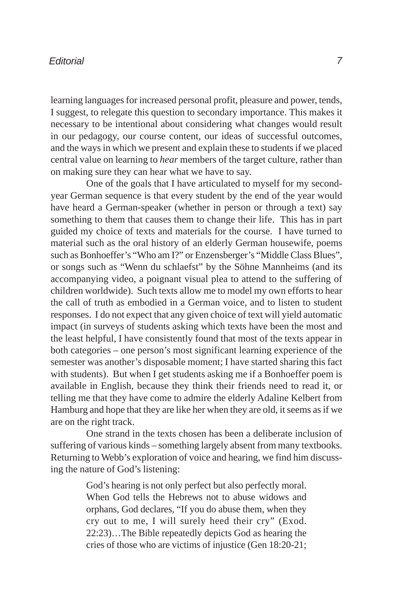#### *Editorial*

learning languages for increased personal profit, pleasure and power, tends, I suggest, to relegate this question to secondary importance. This makes it necessary to be intentional about considering what changes would result in our pedagogy, our course content, our ideas of successful outcomes, and the ways in which we present and explain these to students if we placed central value on learning to *hear* members of the target culture, rather than on making sure they can hear what we have to say.

One of the goals that I have articulated to myself for my secondyear German sequence is that every student by the end of the year would have heard a German-speaker (whether in person or through a text) say something to them that causes them to change their life. This has in part guided my choice of texts and materials for the course. I have turned to material such as the oral history of an elderly German housewife, poems such as Bonhoeffer's "Who am I?" or Enzensberger's "Middle Class Blues", or songs such as "Wenn du schlaefst" by the Söhne Mannheims (and its accompanying video, a poignant visual plea to attend to the suffering of children worldwide). Such texts allow me to model my own efforts to hear the call of truth as embodied in a German voice, and to listen to student responses. I do not expect that any given choice of text will yield automatic impact (in surveys of students asking which texts have been the most and the least helpful, I have consistently found that most of the texts appear in both categories – one person's most significant learning experience of the semester was another's disposable moment; I have started sharing this fact with students). But when I get students asking me if a Bonhoeffer poem is available in English, because they think their friends need to read it, or telling me that they have come to admire the elderly Adaline Kelbert from Hamburg and hope that they are like her when they are old, it seems as if we are on the right track.

One strand in the texts chosen has been a deliberate inclusion of suffering of various kinds – something largely absent from many textbooks. Returning to Webb's exploration of voice and hearing, we find him discussing the nature of God's listening:

> God's hearing is not only perfect but also perfectly moral. When God tells the Hebrews not to abuse widows and orphans, God declares, "If you do abuse them, when they cry out to me, I will surely heed their cry" (Exod. 22:23)…The Bible repeatedly depicts God as hearing the cries of those who are victims of injustice (Gen 18:20-21;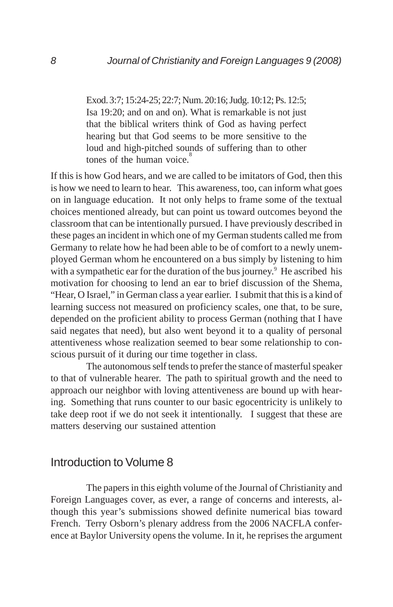Exod. 3:7; 15:24-25; 22:7; Num. 20:16; Judg. 10:12; Ps. 12:5; Isa 19:20; and on and on). What is remarkable is not just that the biblical writers think of God as having perfect hearing but that God seems to be more sensitive to the loud and high-pitched sounds of suffering than to other tones of the human voice.<sup>8</sup>

If this is how God hears, and we are called to be imitators of God, then this is how we need to learn to hear. This awareness, too, can inform what goes on in language education. It not only helps to frame some of the textual choices mentioned already, but can point us toward outcomes beyond the classroom that can be intentionally pursued. I have previously described in these pages an incident in which one of my German students called me from Germany to relate how he had been able to be of comfort to a newly unemployed German whom he encountered on a bus simply by listening to him with a sympathetic ear for the duration of the bus journey.<sup>9</sup> He ascribed his motivation for choosing to lend an ear to brief discussion of the Shema, "Hear, O Israel," in German class a year earlier. I submit that this is a kind of learning success not measured on proficiency scales, one that, to be sure, depended on the proficient ability to process German (nothing that I have said negates that need), but also went beyond it to a quality of personal attentiveness whose realization seemed to bear some relationship to conscious pursuit of it during our time together in class.

The autonomous self tends to prefer the stance of masterful speaker to that of vulnerable hearer. The path to spiritual growth and the need to approach our neighbor with loving attentiveness are bound up with hearing. Something that runs counter to our basic egocentricity is unlikely to take deep root if we do not seek it intentionally. I suggest that these are matters deserving our sustained attention

### Introduction to Volume 8

The papers in this eighth volume of the Journal of Christianity and Foreign Languages cover, as ever, a range of concerns and interests, although this year's submissions showed definite numerical bias toward French. Terry Osborn's plenary address from the 2006 NACFLA conference at Baylor University opens the volume. In it, he reprises the argument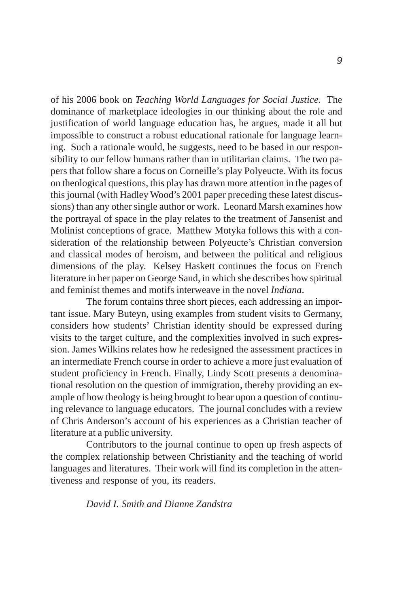of his 2006 book on *Teaching World Languages for Social Justice*. The dominance of marketplace ideologies in our thinking about the role and justification of world language education has, he argues, made it all but impossible to construct a robust educational rationale for language learning. Such a rationale would, he suggests, need to be based in our responsibility to our fellow humans rather than in utilitarian claims. The two papers that follow share a focus on Corneille's play Polyeucte. With its focus on theological questions, this play has drawn more attention in the pages of this journal (with Hadley Wood's 2001 paper preceding these latest discussions) than any other single author or work. Leonard Marsh examines how the portrayal of space in the play relates to the treatment of Jansenist and Molinist conceptions of grace. Matthew Motyka follows this with a consideration of the relationship between Polyeucte's Christian conversion and classical modes of heroism, and between the political and religious dimensions of the play. Kelsey Haskett continues the focus on French literature in her paper on George Sand, in which she describes how spiritual and feminist themes and motifs interweave in the novel *Indiana*.

The forum contains three short pieces, each addressing an important issue. Mary Buteyn, using examples from student visits to Germany, considers how students' Christian identity should be expressed during visits to the target culture, and the complexities involved in such expression. James Wilkins relates how he redesigned the assessment practices in an intermediate French course in order to achieve a more just evaluation of student proficiency in French. Finally, Lindy Scott presents a denominational resolution on the question of immigration, thereby providing an example of how theology is being brought to bear upon a question of continuing relevance to language educators. The journal concludes with a review of Chris Anderson's account of his experiences as a Christian teacher of literature at a public university.

Contributors to the journal continue to open up fresh aspects of the complex relationship between Christianity and the teaching of world languages and literatures. Their work will find its completion in the attentiveness and response of you, its readers.

*David I. Smith and Dianne Zandstra*